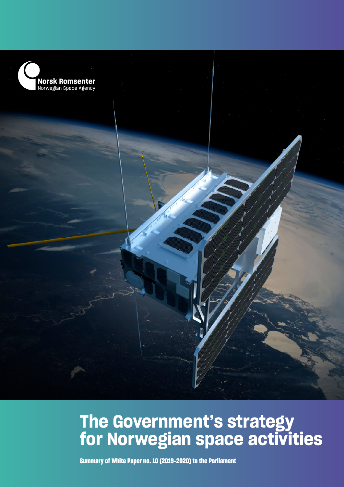

## **The Government's strategy for Norwegian space activities**

**Summary of White Paper no. 10 (2019-2020) to the Parliament**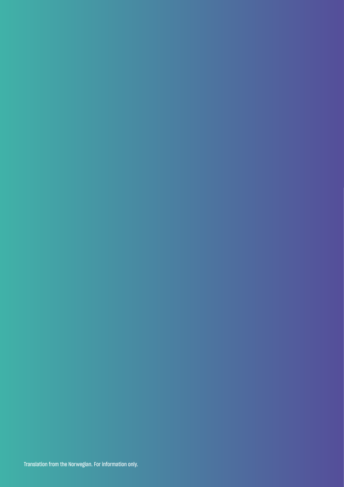Translation from the Norwegian. For information only.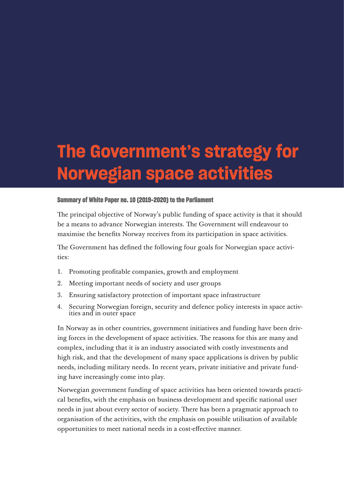# **The Government's strategy for Norwegian space activities**

#### **Summary of White Paper no. 10 (2019-2020) to the Parliament**

The principal objective of Norway's public funding of space activity is that it should be a means to advance Norwegian interests. The Government will endeavour to maximise the benefits Norway receives from its participation in space activities.

The Government has defined the following four goals for Norwegian space activities:

- 1. Promoting profitable companies, growth and employment
- 2. Meeting important needs of society and user groups
- 3. Ensuring satisfactory protection of important space infrastructure
- 4. Securing Norwegian foreign, security and defence policy interests in space activities and in outer space

In Norway as in other countries, government initiatives and funding have been driving forces in the development of space activities. The reasons for this are many and complex, including that it is an industry associated with costly investments and high risk, and that the development of many space applications is driven by public needs, including military needs. In recent years, private initiative and private funding have increasingly come into play.

Norwegian government funding of space activities has been oriented towards practical benefits, with the emphasis on business development and specific national user needs in just about every sector of society. There has been a pragmatic approach to organisation of the activities, with the emphasis on possible utilisation of available opportunities to meet national needs in a cost-effective manner.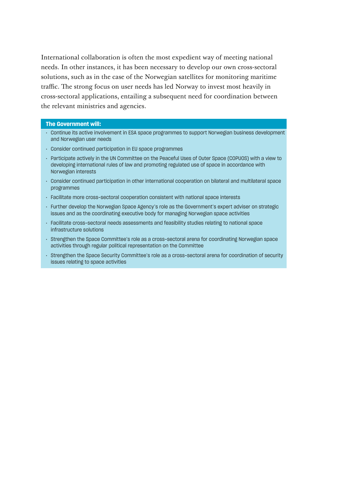International collaboration is often the most expedient way of meeting national needs. In other instances, it has been necessary to develop our own cross-sectoral solutions, such as in the case of the Norwegian satellites for monitoring maritime traffic. The strong focus on user needs has led Norway to invest most heavily in cross-sectoral applications, entailing a subsequent need for coordination between the relevant ministries and agencies.

- Continue its active involvement in ESA space programmes to support Norwegian business development and Nor wegian user needs
- Consider continued participation in EU space programmes
- Par ticipate actively in the UN Committee on the Peaceful Uses of Outer Space (COPUOS) with a view to developing international rules of law and promoting regulated use of space in accordance with Nor wegian interests
- Consider continued participation in other international cooperation on bilateral and multilateral space programmes
- Facilitate more cross-sectoral cooperation consistent with national space interests
- Further develop the Norwegian Space Agency's role as the Government's expert adviser on strategic issues and as the coordinating executive body for managing Norwegian space activities
- Facilitate cross-sectoral needs assessments and feasibility studies relating to national space infrastructure solutions
- Strengthen the Space Committee's role as a cross-sectoral arena for coordinating Nor wegian space activities through regular political representation on the Committee
- Strengthen the Space Security Committee's role as a cross-sectoral arena for coordination of security issues relating to space activities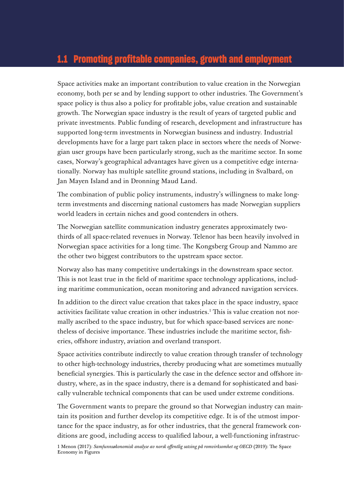## **1.1 Promoting profitable companies, growth and employment**

Space activities make an important contribution to value creation in the Norwegian economy, both per se and by lending support to other industries. The Government's space policy is thus also a policy for profitable jobs, value creation and sustainable growth. The Norwegian space industry is the result of years of targeted public and private investments. Public funding of research, development and infrastructure has supported long-term investments in Norwegian business and industry. Industrial developments have for a large part taken place in sectors where the needs of Norwegian user groups have been particularly strong, such as the maritime sector. In some cases, Norway's geographical advantages have given us a competitive edge internationally. Norway has multiple satellite ground stations, including in Svalbard, on Jan Mayen Island and in Dronning Maud Land.

The combination of public policy instruments, industry's willingness to make longterm investments and discerning national customers has made Norwegian suppliers world leaders in certain niches and good contenders in others.

The Norwegian satellite communication industry generates approximately twothirds of all space-related revenues in Norway. Telenor has been heavily involved in Norwegian space activities for a long time. The Kongsberg Group and Nammo are the other two biggest contributors to the upstream space sector.

Norway also has many competitive undertakings in the downstream space sector. This is not least true in the field of maritime space technology applications, including maritime communication, ocean monitoring and advanced navigation services.

In addition to the direct value creation that takes place in the space industry, space activities facilitate value creation in other industries.<sup>1</sup> This is value creation not normally ascribed to the space industry, but for which space-based services are nonetheless of decisive importance. These industries include the maritime sector, fisheries, offshore industry, aviation and overland transport.

Space activities contribute indirectly to value creation through transfer of technology to other high-technology industries, thereby producing what are sometimes mutually beneficial synergies. This is particularly the case in the defence sector and offshore industry, where, as in the space industry, there is a demand for sophisticated and basically vulnerable technical components that can be used under extreme conditions.

The Government wants to prepare the ground so that Norwegian industry can maintain its position and further develop its competitive edge. It is of the utmost importance for the space industry, as for other industries, that the general framework conditions are good, including access to qualified labour, a well-functioning infrastruc-

1 Menon (2017): *Samfunnsøkonomisk analyse av norsk offentlig satsing på romvirksomhet og OECD* (2019): The Space Economy in Figures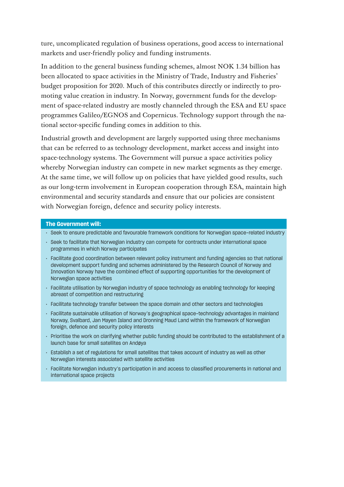ture, uncomplicated regulation of business operations, good access to international markets and user-friendly policy and funding instruments.

In addition to the general business funding schemes, almost NOK 1.34 billion has been allocated to space activities in the Ministry of Trade, Industry and Fisheries' budget proposition for 2020. Much of this contributes directly or indirectly to promoting value creation in industry. In Norway, government funds for the development of space-related industry are mostly channeled through the ESA and EU space programmes Galileo/EGNOS and Copernicus. Technology support through the national sector-specific funding comes in addition to this.

Industrial growth and development are largely supported using three mechanisms that can be referred to as technology development, market access and insight into space-technology systems. The Government will pursue a space activities policy whereby Norwegian industry can compete in new market segments as they emerge. At the same time, we will follow up on policies that have yielded good results, such as our long-term involvement in European cooperation through ESA, maintain high environmental and security standards and ensure that our policies are consistent with Norwegian foreign, defence and security policy interests.

- Seek to ensure predictable and favourable framework conditions for Nor wegian space-related industry
- Seek to facilitate that Norwegian industry can compete for contracts under international space programmes in which Norway participates
- Facilitate good coordination between relevant policy instrument and funding agencies so that national development support funding and schemes administered by the Research Council of Norway and Innovation Norway have the combined effect of supporting opportunities for the development of Nor wegian space activities
- Facilitate utilisation by Norwegian industry of space technology as enabling technology for keeping abreast of competition and restructuring
- Facilitate technology transfer between the space domain and other sectors and technologies
- Facilitate sustainable utilisation of Norway's geographical space-technology advantages in mainland Norway, Svalbard, Jan Mayen Island and Dronning Maud Land within the framework of Norwegian foreign, defence and security policy interests
- Prioritise the work on clarifying whether public funding should be contributed to the establishment of a launch base for small satellites on Andøya
- Establish a set of regulations for small satellites that takes account of industry as well as other Nor wegian interests associated with satellite activities
- Facilitate Norwegian industry's participation in and access to classified procurements in national and international space projects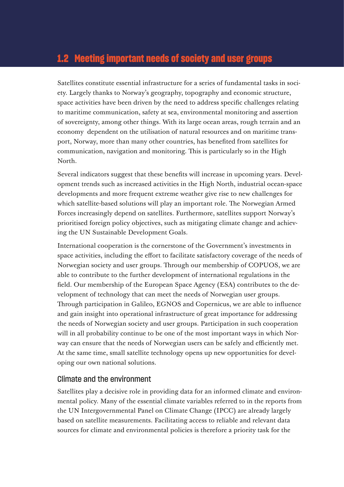## **1.2 Meeting important needs of society and user groups**

Satellites constitute essential infrastructure for a series of fundamental tasks in society. Largely thanks to Norway's geography, topography and economic structure, space activities have been driven by the need to address specific challenges relating to maritime communication, safety at sea, environmental monitoring and assertion of sovereignty, among other things. With its large ocean areas, rough terrain and an economy dependent on the utilisation of natural resources and on maritime transport, Norway, more than many other countries, has benefited from satellites for communication, navigation and monitoring. This is particularly so in the High North.

Several indicators suggest that these benefits will increase in upcoming years. Development trends such as increased activities in the High North, industrial ocean-space developments and more frequent extreme weather give rise to new challenges for which satellite-based solutions will play an important role. The Norwegian Armed Forces increasingly depend on satellites. Furthermore, satellites support Norway's prioritised foreign policy objectives, such as mitigating climate change and achieving the UN Sustainable Development Goals.

International cooperation is the cornerstone of the Government's investments in space activities, including the effort to facilitate satisfactory coverage of the needs of Norwegian society and user groups. Through our membership of COPUOS, we are able to contribute to the further development of international regulations in the field. Our membership of the European Space Agency (ESA) contributes to the development of technology that can meet the needs of Norwegian user groups. Through participation in Galileo, EGNOS and Copernicus, we are able to influence and gain insight into operational infrastructure of great importance for addressing the needs of Norwegian society and user groups. Participation in such cooperation will in all probability continue to be one of the most important ways in which Norway can ensure that the needs of Norwegian users can be safely and efficiently met. At the same time, small satellite technology opens up new opportunities for developing our own national solutions.

#### Climate and the environment

Satellites play a decisive role in providing data for an informed climate and environmental policy. Many of the essential climate variables referred to in the reports from the UN Intergovernmental Panel on Climate Change (IPCC) are already largely based on satellite measurements. Facilitating access to reliable and relevant data sources for climate and environmental policies is therefore a priority task for the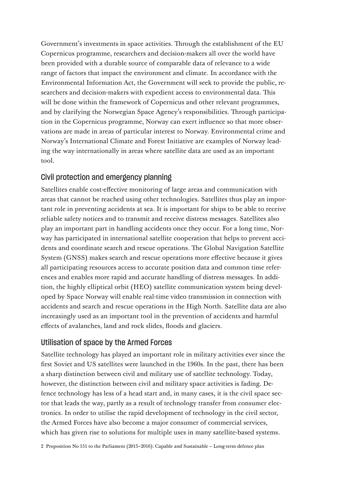Government's investments in space activities. Through the establishment of the EU Copernicus programme, researchers and decision-makers all over the world have been provided with a durable source of comparable data of relevance to a wide range of factors that impact the environment and climate. In accordance with the Environmental Information Act, the Government will seek to provide the public, researchers and decision-makers with expedient access to environmental data. This will be done within the framework of Copernicus and other relevant programmes, and by clarifying the Norwegian Space Agency's responsibilities. Through participation in the Copernicus programme, Norway can exert influence so that more observations are made in areas of particular interest to Norway. Environmental crime and Norway's International Climate and Forest Initiative are examples of Norway leading the way internationally in areas where satellite data are used as an important tool.

## Civil protection and emergency planning

Satellites enable cost-effective monitoring of large areas and communication with areas that cannot be reached using other technologies. Satellites thus play an important role in preventing accidents at sea. It is important for ships to be able to receive reliable safety notices and to transmit and receive distress messages. Satellites also play an important part in handling accidents once they occur. For a long time, Norway has participated in international satellite cooperation that helps to prevent accidents and coordinate search and rescue operations. The Global Navigation Satellite System (GNSS) makes search and rescue operations more effective because it gives all participating resources access to accurate position data and common time references and enables more rapid and accurate handling of distress messages. In addition, the highly elliptical orbit (HEO) satellite communication system being developed by Space Norway will enable real-time video transmission in connection with accidents and search and rescue operations in the High North. Satellite data are also increasingly used as an important tool in the prevention of accidents and harmful effects of avalanches, land and rock slides, floods and glaciers.

### Utilisation of space by the Armed Forces

Satellite technology has played an important role in military activities ever since the first Soviet and US satellites were launched in the 1960s. In the past, there has been a sharp distinction between civil and military use of satellite technology. Today, however, the distinction between civil and military space activities is fading. Defence technology has less of a head start and, in many cases, it is the civil space sector that leads the way, partly as a result of technology transfer from consumer electronics. In order to utilise the rapid development of technology in the civil sector, the Armed Forces have also become a major consumer of commercial services, which has given rise to solutions for multiple uses in many satellite-based systems.

2 Proposition No 151 to the Parliament (2015–2016): Capable and Sustainable – Long-term defence plan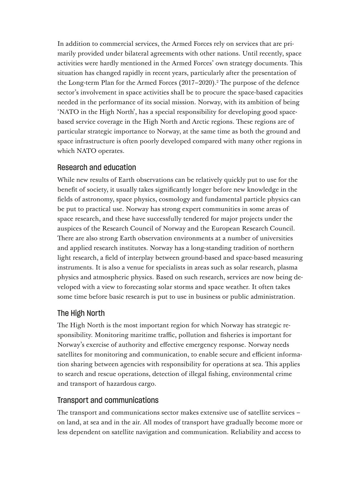In addition to commercial services, the Armed Forces rely on services that are primarily provided under bilateral agreements with other nations. Until recently, space activities were hardly mentioned in the Armed Forces' own strategy documents. This situation has changed rapidly in recent years, particularly after the presentation of the Long-term Plan for the Armed Forces (2017–2020).<sup>2</sup> The purpose of the defence sector's involvement in space activities shall be to procure the space-based capacities needed in the performance of its social mission. Norway, with its ambition of being 'NATO in the High North', has a special responsibility for developing good spacebased service coverage in the High North and Arctic regions. These regions are of particular strategic importance to Norway, at the same time as both the ground and space infrastructure is often poorly developed compared with many other regions in which NATO operates.

### Research and education

While new results of Earth observations can be relatively quickly put to use for the benefit of society, it usually takes significantly longer before new knowledge in the fields of astronomy, space physics, cosmology and fundamental particle physics can be put to practical use. Norway has strong expert communities in some areas of space research, and these have successfully tendered for major projects under the auspices of the Research Council of Norway and the European Research Council. There are also strong Earth observation environments at a number of universities and applied research institutes. Norway has a long-standing tradition of northern light research, a field of interplay between ground-based and space-based measuring instruments. It is also a venue for specialists in areas such as solar research, plasma physics and atmospheric physics. Based on such research, services are now being developed with a view to forecasting solar storms and space weather. It often takes some time before basic research is put to use in business or public administration.

### The High North

The High North is the most important region for which Norway has strategic responsibility. Monitoring maritime traffic, pollution and fisheries is important for Norway's exercise of authority and effective emergency response. Norway needs satellites for monitoring and communication, to enable secure and efficient information sharing between agencies with responsibility for operations at sea. This applies to search and rescue operations, detection of illegal fishing, environmental crime and transport of hazardous cargo.

### Transport and communications

The transport and communications sector makes extensive use of satellite services – on land, at sea and in the air. All modes of transport have gradually become more or less dependent on satellite navigation and communication. Reliability and access to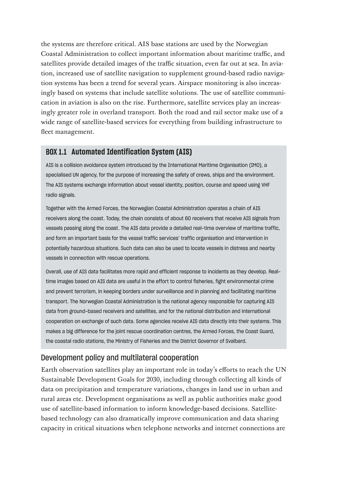the systems are therefore critical. AIS base stations are used by the Norwegian Coastal Administration to collect important information about maritime traffic, and satellites provide detailed images of the traffic situation, even far out at sea. In aviation, increased use of satellite navigation to supplement ground-based radio navigation systems has been a trend for several years. Airspace monitoring is also increasingly based on systems that include satellite solutions. The use of satellite communication in aviation is also on the rise. Furthermore, satellite services play an increasingly greater role in overland transport. Both the road and rail sector make use of a wide range of satellite-based services for everything from building infrastructure to fleet management.

#### **BOX 1.1 Automated Identification System (AIS)**

AIS is a collision avoidance system introduced by the International Maritime Organisation (IMO), a specialised UN agency, for the purpose of increasing the safety of crews, ships and the environment. The AIS systems exchange information about vessel identity, position, course and speed using VHF radio signals.

Together with the Armed Forces, the Norwegian Coastal Administration operates a chain of AIS receivers along the coast. Today, the chain consists of about 60 receivers that receive AIS signals from vessels passing along the coast. The AIS data provide a detailed real-time overview of maritime traffic, and form an important basis for the vessel traffic services' traffic organisation and intervention in potentially hazardous situations. Such data can also be used to locate vessels in distress and nearby vessels in connection with rescue operations.

Overall, use of AIS data facilitates more rapid and ef ficient response to incidents as they develop. Realtime images based on AIS data are useful in the effort to control fisheries, fight environmental crime and prevent terrorism, in keeping borders under surveillance and in planning and facilitating maritime transport. The Norwegian Coastal Administration is the national agency responsible for capturing AIS data from ground-based receivers and satellites, and for the national distribution and international cooperation on exchange of such data. Some agencies receive AIS data directly into their systems. This makes a big difference for the joint rescue coordination centres, the Armed Forces, the Coast Guard, the coastal radio stations, the Ministry of Fisheries and the District Governor of Svalbard.

#### Development policy and multilateral cooperation

Earth observation satellites play an important role in today's efforts to reach the UN Sustainable Development Goals for 2030, including through collecting all kinds of data on precipitation and temperature variations, changes in land use in urban and rural areas etc. Development organisations as well as public authorities make good use of satellite-based information to inform knowledge-based decisions. Satellitebased technology can also dramatically improve communication and data sharing capacity in critical situations when telephone networks and internet connections are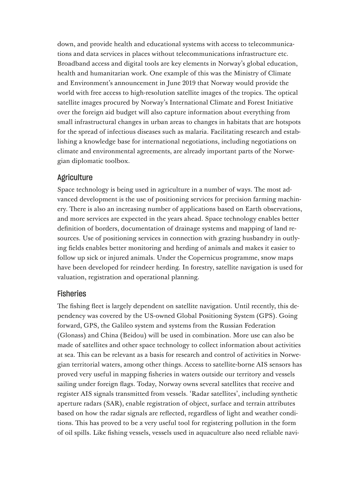down, and provide health and educational systems with access to telecommunications and data services in places without telecommunications infrastructure etc. Broadband access and digital tools are key elements in Norway's global education, health and humanitarian work. One example of this was the Ministry of Climate and Environment's announcement in June 2019 that Norway would provide the world with free access to high-resolution satellite images of the tropics. The optical satellite images procured by Norway's International Climate and Forest Initiative over the foreign aid budget will also capture information about everything from small infrastructural changes in urban areas to changes in habitats that are hotspots for the spread of infectious diseases such as malaria. Facilitating research and establishing a knowledge base for international negotiations, including negotiations on climate and environmental agreements, are already important parts of the Norwegian diplomatic toolbox.

#### **Agriculture**

Space technology is being used in agriculture in a number of ways. The most advanced development is the use of positioning services for precision farming machinery. There is also an increasing number of applications based on Earth observations, and more services are expected in the years ahead. Space technology enables better definition of borders, documentation of drainage systems and mapping of land resources. Use of positioning services in connection with grazing husbandry in outlying fields enables better monitoring and herding of animals and makes it easier to follow up sick or injured animals. Under the Copernicus programme, snow maps have been developed for reindeer herding. In forestry, satellite navigation is used for valuation, registration and operational planning.

#### **Fisheries**

The fishing fleet is largely dependent on satellite navigation. Until recently, this dependency was covered by the US-owned Global Positioning System (GPS). Going forward, GPS, the Galileo system and systems from the Russian Federation (Glonass) and China (Beidou) will be used in combination. More use can also be made of satellites and other space technology to collect information about activities at sea. This can be relevant as a basis for research and control of activities in Norwegian territorial waters, among other things. Access to satellite-borne AIS sensors has proved very useful in mapping fisheries in waters outside our territory and vessels sailing under foreign flags. Today, Norway owns several satellites that receive and register AIS signals transmitted from vessels. 'Radar satellites', including synthetic aperture radars (SAR), enable registration of object, surface and terrain attributes based on how the radar signals are reflected, regardless of light and weather conditions. This has proved to be a very useful tool for registering pollution in the form of oil spills. Like fishing vessels, vessels used in aquaculture also need reliable navi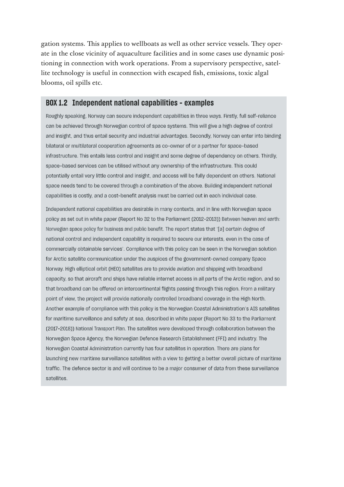gation systems. This applies to wellboats as well as other service vessels. They operate in the close vicinity of aquaculture facilities and in some cases use dynamic positioning in connection with work operations. From a supervisory perspective, satellite technology is useful in connection with escaped fish, emissions, toxic algal blooms, oil spills etc.

#### **BOX 1.2 Independent national capabilities – examples**

Roughly speaking, Norway can secure independent capabilities in three ways. Firstly, full self-reliance can be achieved through Norwegian control of space systems. This will give a high degree of control and insight, and thus entail security and industrial advantages. Secondly, Norway can enter into binding bilateral or multilateral cooperation agreements as co-owner of or a partner for space-based infrastructure. This entails less control and insight and some degree of dependency on others. Thirdly, space-based services can be utilised without any ownership of the infrastructure. This could potentially entail very little control and insight, and access will be fully dependent on others. National space needs tend to be covered through a combination of the above. Building independent national capabilities is costly, and a cost-benefit analysis must be carried out in each individual case.

Independent national capabilities are desirable in many contexts, and in line with Norwegian space policy as set out in white paper (Report No 32 to the Parliament (2012-2013)) Between heaven and earth: Norwegian space policy for business and public benefit. The report states that '[a] certain degree of national control and independent capability is required to secure our interests, even in the case of commercially obtainable services'. Compliance with this policy can be seen in the Norwegian solution for Arctic satellite communication under the auspices of the government-owned company Space Nor way. High elliptical orbit (HEO) satellites are to provide aviation and shipping with broadband capacity, so that aircraft and ships have reliable internet access in all parts of the Arctic region, and so that broadband can be offered on intercontinental flights passing through this region. From a military point of view, the project will provide nationally controlled broadband coverage in the High North. Another example of compliance with this policy is the Norwegian Coastal Administration's AIS satellites for maritime surveillance and safety at sea, described in white paper (Report No 33 to the Parliament (2017-2018)) National Transport Plan. The satellites were developed through collaboration between the Norwegian Space Agency, the Norwegian Defence Research Establishment (FFI) and industry. The Nor wegian Coastal Administration currently has four satellites in operation. There are plans for launching new maritime surveillance satellites with a view to getting a better overall picture of maritime traffic. The defence sector is and will continue to be a major consumer of data from these surveillance satellites.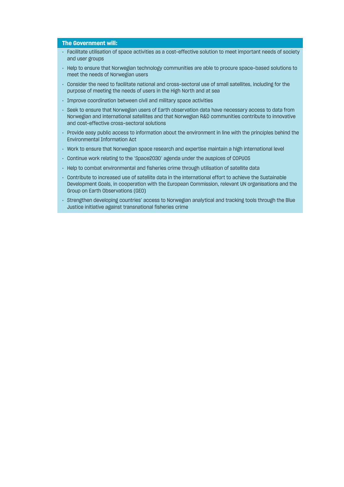- Facilitate utilisation of space activities as a cost-effective solution to meet important needs of society and user groups
- Help to ensure that Norwegian technology communities are able to procure space-based solutions to meet the needs of Norwegian users
- Consider the need to facilitate national and cross-sectoral use of small satellites, including for the purpose of meeting the needs of users in the High North and at sea
- Improve coordination between civil and military space activities
- Seek to ensure that Norwegian users of Earth observation data have necessary access to data from Norwegian and international satellites and that Norwegian R&D communities contribute to innovative and cost-effective cross-sectoral solutions
- Provide easy public access to information about the environment in line with the principles behind the Environmental Information Act
- Work to ensure that Norwegian space research and expertise maintain a high international level
- Continue work relating to the 'Space2030' agenda under the auspices of COPUOS
- Help to combat environmental and fisheries crime through utilisation of satellite data
- Contribute to increased use of satellite data in the international effort to achieve the Sustainable Development Goals, in cooperation with the European Commission, relevant UN organisations and the Group on Earth Observations (GEO)
- Strengthen developing countries' access to Nor wegian analytical and tracking tools through the Blue Justice initiative against transnational fisheries crime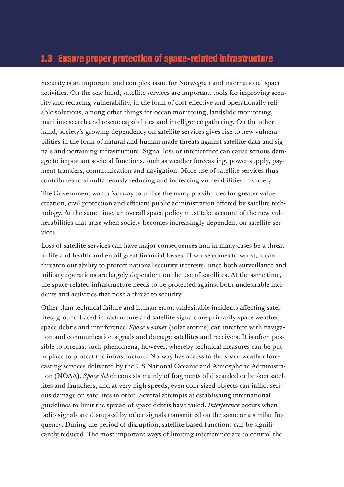## **1.3 Ensure proper protection of space-related infrastructure**

Security is an important and complex issue for Norwegian and international space activities. On the one hand, satellite services are important tools for improving security and reducing vulnerability, in the form of cost-effective and operationally reliable solutions, among other things for ocean monitoring, landslide monitoring, maritime search and rescue capabilities and intelligence gathering. On the other hand, society's growing dependency on satellite services gives rise to new vulnerabilities in the form of natural and human-made threats against satellite data and signals and pertaining infrastructure. Signal loss or interference can cause serious damage to important societal functions, such as weather forecasting, power supply, payment transfers, communication and navigation. More use of satellite services thus contributes to simultaneously reducing and increasing vulnerabilities in society.

The Government wants Norway to utilise the many possibilities for greater value creation, civil protection and efficient public administration offered by satellite technology. At the same time, an overall space policy must take account of the new vulnerabilities that arise when society becomes increasingly dependent on satellite services.

Loss of satellite services can have major consequences and in many cases be a threat to life and health and entail great financial losses. If worse comes to worst, it can threaten our ability to protect national security interests, since both surveillance and military operations are largely dependent on the use of satellites. At the same time, the space-related infrastructure needs to be protected against both undesirable incidents and activities that pose a threat to security.

Other than technical failure and human error, undesirable incidents affecting satellites, ground-based infrastructure and satellite signals are primarily space weather, space debris and interference. *Space weather* (solar storms) can interfere with navigation and communication signals and damage satellites and receivers. It is often possible to forecast such phenomena, however, whereby technical measures can be put in place to protect the infrastructure. Norway has access to the space weather forecasting services delivered by the US National Oceanic and Atmospheric Administration (NOAA). *Space debris* consists mainly of fragments of discarded or broken satellites and launchers, and at very high speeds, even coin-sized objects can inflict serious damage on satellites in orbit. Several attempts at establishing international guidelines to limit the spread of space debris have failed. *Interference* occurs when radio signals are disrupted by other signals transmitted on the same or a similar frequency. During the period of disruption, satellite-based functions can be significantly reduced. The most important ways of limiting interference are to control the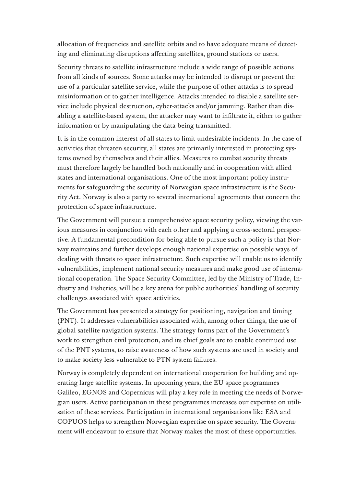allocation of frequencies and satellite orbits and to have adequate means of detecting and eliminating disruptions affecting satellites, ground stations or users.

Security threats to satellite infrastructure include a wide range of possible actions from all kinds of sources. Some attacks may be intended to disrupt or prevent the use of a particular satellite service, while the purpose of other attacks is to spread misinformation or to gather intelligence. Attacks intended to disable a satellite service include physical destruction, cyber-attacks and/or jamming. Rather than disabling a satellite-based system, the attacker may want to infiltrate it, either to gather information or by manipulating the data being transmitted.

It is in the common interest of all states to limit undesirable incidents. In the case of activities that threaten security, all states are primarily interested in protecting systems owned by themselves and their allies. Measures to combat security threats must therefore largely be handled both nationally and in cooperation with allied states and international organisations. One of the most important policy instruments for safeguarding the security of Norwegian space infrastructure is the Security Act. Norway is also a party to several international agreements that concern the protection of space infrastructure.

The Government will pursue a comprehensive space security policy, viewing the various measures in conjunction with each other and applying a cross-sectoral perspective. A fundamental precondition for being able to pursue such a policy is that Norway maintains and further develops enough national expertise on possible ways of dealing with threats to space infrastructure. Such expertise will enable us to identify vulnerabilities, implement national security measures and make good use of international cooperation. The Space Security Committee, led by the Ministry of Trade, Industry and Fisheries, will be a key arena for public authorities' handling of security challenges associated with space activities.

The Government has presented a strategy for positioning, navigation and timing (PNT). It addresses vulnerabilities associated with, among other things, the use of global satellite navigation systems. The strategy forms part of the Government's work to strengthen civil protection, and its chief goals are to enable continued use of the PNT systems, to raise awareness of how such systems are used in society and to make society less vulnerable to PTN system failures.

Norway is completely dependent on international cooperation for building and operating large satellite systems. In upcoming years, the EU space programmes Galileo, EGNOS and Copernicus will play a key role in meeting the needs of Norwegian users. Active participation in these programmes increases our expertise on utilisation of these services. Participation in international organisations like ESA and COPUOS helps to strengthen Norwegian expertise on space security. The Government will endeavour to ensure that Norway makes the most of these opportunities.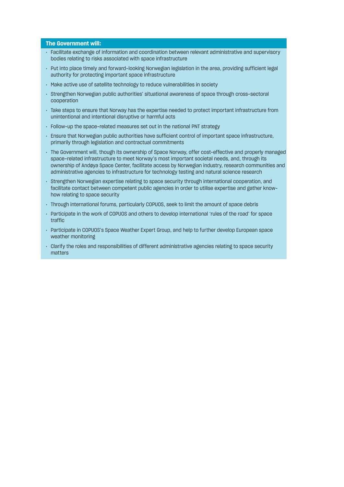- Facilitate exchange of information and coordination between relevant administrative and supervisory bodies relating to risks associated with space infrastructure
- Put into place timely and forward-looking Norwegian legislation in the area, providing sufficient legal authority for protecting impor tant space infrastructure
- Make active use of satellite technology to reduce vulnerabilities in society
- Strengthen Norwegian public authorities' situational awareness of space through cross-sectoral cooperation
- Take steps to ensure that Norway has the expertise needed to protect important infrastructure from unintentional and intentional disruptive or harmful acts
- Follow-up the space-related measures set out in the national PNT strategy
- Ensure that Norwegian public authorities have sufficient control of important space infrastructure, primarily through legislation and contractual commitments
- The Government will, though its ownership of Space Norway, offer cost-effective and properly managed space-related infrastructure to meet Norway's most important societal needs, and, through its ownership of Andøya Space Center, facilitate access by Nor wegian industry, research communities and administrative agencies to infrastructure for technology testing and natural science research
- Strengthen Norwegian expertise relating to space security through international cooperation, and facilitate contact between competent public agencies in order to utilise expertise and gather knowhow relating to space security
- Through international forums, par ticularly COPUOS, seek to limit the amount of space debris
- Par ticipate in the work of COPUOS and others to develop international 'rules of the road' for space traffic
- Participate in COPUOS's Space Weather Expert Group, and help to further develop European space weather monitoring
- Clarify the roles and responsibilities of dif ferent administrative agencies relating to space security matters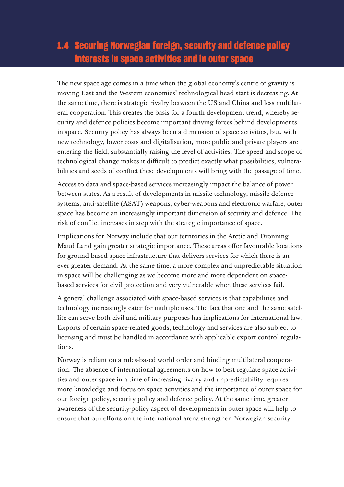## **1.4 Securing Norwegian foreign, security and defence policy interests in space activities and in outer space**

The new space age comes in a time when the global economy's centre of gravity is moving East and the Western economies' technological head start is decreasing. At the same time, there is strategic rivalry between the US and China and less multilateral cooperation. This creates the basis for a fourth development trend, whereby security and defence policies become important driving forces behind developments in space. Security policy has always been a dimension of space activities, but, with new technology, lower costs and digitalisation, more public and private players are entering the field, substantially raising the level of activities. The speed and scope of technological change makes it difficult to predict exactly what possibilities, vulnerabilities and seeds of conflict these developments will bring with the passage of time.

Access to data and space-based services increasingly impact the balance of power between states. As a result of developments in missile technology, missile defence systems, anti-satellite (ASAT) weapons, cyber-weapons and electronic warfare, outer space has become an increasingly important dimension of security and defence. The risk of conflict increases in step with the strategic importance of space.

Implications for Norway include that our territories in the Arctic and Dronning Maud Land gain greater strategic importance. These areas offer favourable locations for ground-based space infrastructure that delivers services for which there is an ever greater demand. At the same time, a more complex and unpredictable situation in space will be challenging as we become more and more dependent on spacebased services for civil protection and very vulnerable when these services fail.

A general challenge associated with space-based services is that capabilities and technology increasingly cater for multiple uses. The fact that one and the same satellite can serve both civil and military purposes has implications for international law. Exports of certain space-related goods, technology and services are also subject to licensing and must be handled in accordance with applicable export control regulations.

Norway is reliant on a rules-based world order and binding multilateral cooperation. The absence of international agreements on how to best regulate space activities and outer space in a time of increasing rivalry and unpredictability requires more knowledge and focus on space activities and the importance of outer space for our foreign policy, security policy and defence policy. At the same time, greater awareness of the security-policy aspect of developments in outer space will help to ensure that our efforts on the international arena strengthen Norwegian security.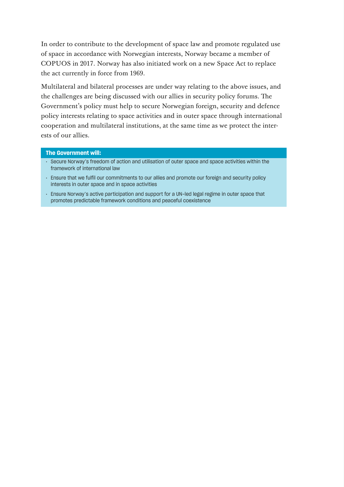In order to contribute to the development of space law and promote regulated use of space in accordance with Norwegian interests, Norway became a member of COPUOS in 2017. Norway has also initiated work on a new Space Act to replace the act currently in force from 1969.

Multilateral and bilateral processes are under way relating to the above issues, and the challenges are being discussed with our allies in security policy forums. The Government's policy must help to secure Norwegian foreign, security and defence policy interests relating to space activities and in outer space through international cooperation and multilateral institutions, at the same time as we protect the interests of our allies.

- Secure Norway's freedom of action and utilisation of outer space and space activities within the framework of international law
- Ensure that we fulfil our commitments to our allies and promote our foreign and security policy interests in outer space and in space activities
- Ensure Norway's active participation and support for a UN-led legal regime in outer space that promotes predictable framework conditions and peaceful coexistence